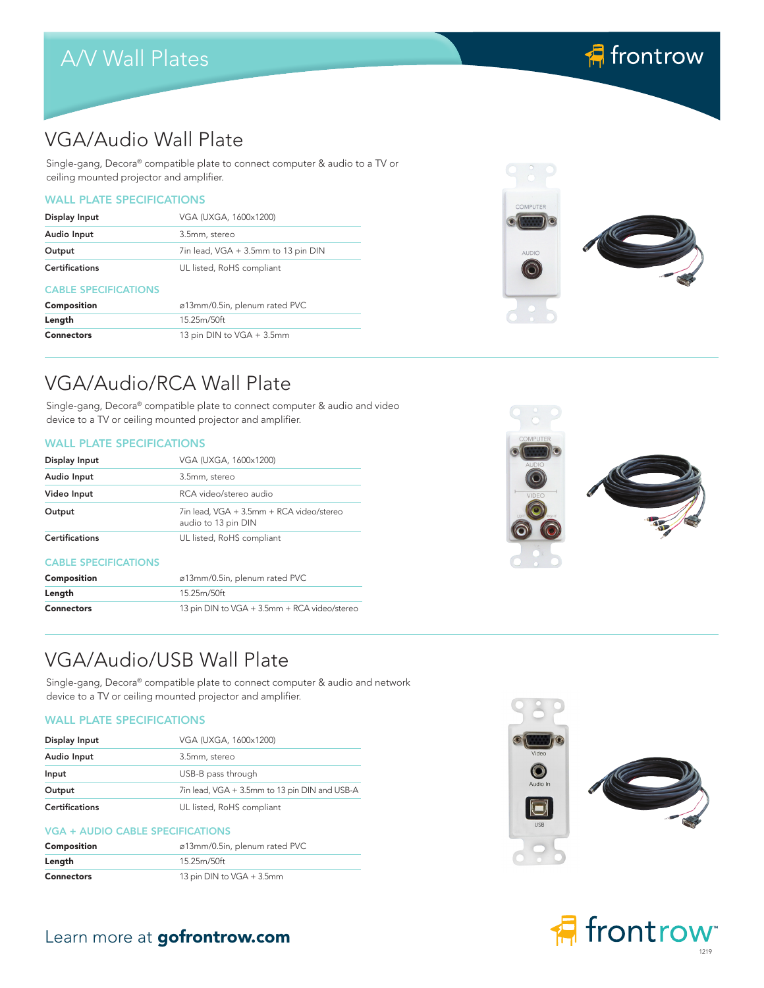## A/V Wall Plates

# **棉** frontrow

### VGA/Audio Wall Plate

Single-gang, Decora® compatible plate to connect computer & audio to a TV or ceiling mounted projector and amplifier.

### WALL PLATE SPECIFICATIONS

| Display Input               | VGA (UXGA, 1600x1200)               |
|-----------------------------|-------------------------------------|
| Audio Input                 | 3.5mm, stereo                       |
| Output                      | 7in lead, VGA + 3.5mm to 13 pin DIN |
| <b>Certifications</b>       | UL listed, RoHS compliant           |
| <b>CABLE SPECIFICATIONS</b> |                                     |

| Composition       | ø13mm/0.5in, plenum rated PVC |
|-------------------|-------------------------------|
| Length            | 15.25m/50ft                   |
| <b>Connectors</b> | 13 pin DIN to VGA + 3.5mm     |



### VGA/Audio/RCA Wall Plate

Single-gang, Decora® compatible plate to connect computer & audio and video device to a TV or ceiling mounted projector and amplifier.

#### WALL PLATE SPECIFICATIONS

| Display Input               | VGA (UXGA, 1600x1200)                                           |
|-----------------------------|-----------------------------------------------------------------|
| Audio Input                 | 3.5mm, stereo                                                   |
| Video Input                 | RCA video/stereo audio                                          |
| Output                      | 7in lead, VGA + 3.5mm + RCA video/stereo<br>audio to 13 pin DIN |
| <b>Certifications</b>       | UL listed, RoHS compliant                                       |
| <b>CABLE SPECIFICATIONS</b> |                                                                 |
| Composition                 | ø13mm/0.5in, plenum rated PVC                                   |
| Length                      | 15.25m/50ft                                                     |
| <b>Connectors</b>           | 13 pin DIN to VGA + 3.5mm + RCA video/stereo                    |



### VGA/Audio/USB Wall Plate

Single-gang, Decora® compatible plate to connect computer & audio and network device to a TV or ceiling mounted projector and amplifier.

### WALL PLATE SPECIFICATIONS

| Display Input         | VGA (UXGA, 1600x1200)                         |
|-----------------------|-----------------------------------------------|
| Audio Input           | 3.5mm, stereo                                 |
| Input                 | USB-B pass through                            |
| Output                | 7in lead, VGA + 3.5mm to 13 pin DIN and USB-A |
| <b>Certifications</b> | UL listed, RoHS compliant                     |

#### VGA + AUDIO CABLE SPECIFICATIONS

| Composition       | ø13mm/0.5in, plenum rated PVC |
|-------------------|-------------------------------|
| Length            | 15.25m/50ft                   |
| <b>Connectors</b> | 13 pin DIN to VGA + 3.5mm     |







### Learn more at gofrontrow.com